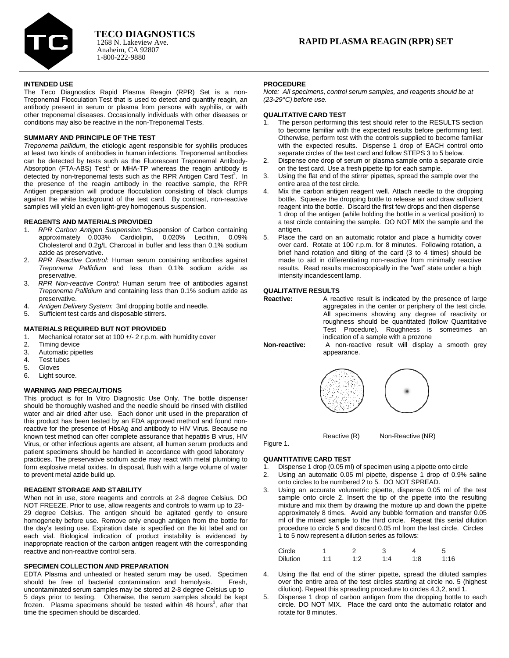

# **INTENDED USE**

The Teco Diagnostics Rapid Plasma Reagin (RPR) Set is a non-Treponemal Flocculation Test that is used to detect and quantify reagin, an antibody present in serum or plasma from persons with syphilis, or with other treponemal diseases. Occasionally individuals with other diseases or conditions may also be reactive in the non-Treponemal Tests.

# **SUMMARY AND PRINCIPLE OF THE TEST**

*Treponema pallidum*, the etiologic agent responsible for syphilis produces at least two kinds of antibodies in human infections. Treponemal antibodies can be detected by tests such as the Fluorescent Treponemal Antibody-Absorption (FTA-ABS)  $Test<sup>1</sup>$  or MHA-TP whereas the reagin antibody is detected by non-treponemal tests such as the RPR Antigen Card Test<sup>2</sup>. In the presence of the reagin antibody in the reactive sample, the RPR Antigen preparation will produce flocculation consisting of black clumps against the white background of the test card. By contrast, non-reactive samples will yield an even light-grey homogenous suspension.

# **REAGENTS AND MATERIALS PROVIDED**

- 1. *RPR Carbon Antigen Suspension:* \*Suspension of Carbon containing approximately 0.003% Cardiolipin, 0.020% Lecithin, 0.09% Cholesterol and 0.2g/L Charcoal in buffer and less than 0.1% sodium azide as preservative.
- 2. *RPR Reactive Control:* Human serum containing antibodies against *Treponema Pallidium* and less than 0.1% sodium azide as preservative.
- 3. *RPR Non-reactive Control:* Human serum free of antibodies against *Treponema Pallidium* and containing less than 0.1% sodium azide as preservative.
- 4. *Antigen Delivery System:* 3ml dropping bottle and needle. Sufficient test cards and disposable stirrers.

- **MATERIALS REQUIRED BUT NOT PROVIDED**
- 1. Mechanical rotator set at 100 +/- 2 r.p.m. with humidity cover
- 2. Timing device
- 3. Automatic pipettes<br>4. Test tubes Test tubes
- 5. Gloves
- 6. Light source.

# **WARNING AND PRECAUTIONS**

This product is for In Vitro Diagnostic Use Only. The bottle dispenser should be thoroughly washed and the needle should be rinsed with distilled water and air dried after use. Each donor unit used in the preparation of this product has been tested by an FDA approved method and found nonreactive for the presence of HbsAg and antibody to HIV Virus. Because no known test method can offer complete assurance that hepatitis B virus, HIV Virus, or other infectious agents are absent, all human serum products and patient specimens should be handled in accordance with good laboratory practices. The preservative sodium azide may react with metal plumbing to form explosive metal oxides. In disposal, flush with a large volume of water to prevent metal azide build up.

# **REAGENT STORAGE AND STABILITY**

When not in use, store reagents and controls at 2-8 degree Celsius. DO NOT FREEZE. Prior to use, allow reagents and controls to warm up to 23- 29 degree Celsius. The antigen should be agitated gently to ensure homogeneity before use. Remove only enough antigen from the bottle for the day's testing use. Expiration date is specified on the kit label and on each vial. Biological indication of product instability is evidenced by inappropriate reaction of the carbon antigen reagent with the corresponding reactive and non-reactive control sera.

# **SPECIMEN COLLECTION AND PREPARATION**

EDTA Plasma and unheated or heated serum may be used. Specimen should be free of bacterial contamination and hemolysis. Fresh, uncontaminated serum samples may be stored at 2-8 degree Celsius up to 5 days prior to testing. Otherwise, the serum samples should be kept frozen. Plasma specimens should be tested within 48 hours<sup>3</sup>, after that time the specimen should be discarded.

# **PROCEDURE**

*Note: All specimens, control serum samples, and reagents should be at (23-29°C) before use.*

# **QUALITATIVE CARD TEST**

- 1. The person performing this test should refer to the RESULTS section to become familiar with the expected results before performing test. Otherwise, perform test with the controls supplied to become familiar with the expected results. Dispense 1 drop of EACH control onto separate circles of the test card and follow STEPS 3 to 5 below.
- 2. Dispense one drop of serum or plasma sample onto a separate circle on the test card. Use a fresh pipette tip for each sample.
- 3. Using the flat end of the stirrer pipettes, spread the sample over the entire area of the test circle.
- 4. Mix the carbon antigen reagent well. Attach needle to the dropping bottle. Squeeze the dropping bottle to release air and draw sufficient reagent into the bottle. Discard the first few drops and then dispense 1 drop of the antigen (while holding the bottle in a vertical position) to a test circle containing the sample. DO NOT MIX the sample and the antigen.
- 5. Place the card on an automatic rotator and place a humidity cover over card. Rotate at 100 r.p.m. for 8 minutes. Following rotation, a brief hand rotation and tilting of the card (3 to 4 times) should be made to aid in differentiating non-reactive from minimally reactive results. Read results macroscopically in the "wet" state under a high intensity incandescent lamp.

# **QUALITATIVE RESULTS**

```
Reactive: A reactive result is indicated by the presence of large 
aggregates in the center or periphery of the test circle. 
All specimens showing any degree of reactivity or 
roughness should be quantitated (follow Quantitative 
Test Procedure). Roughness is sometimes an 
indication of a sample with a prozone
```
**Non-reactive:** A non-reactive result will display a smooth grey appearance.



Reactive (R) Non-Reactive (NR)

Figure 1.

**QUANTITATIVE CARD TEST**

- 1. Dispense 1 drop (0.05 ml) of specimen using a pipette onto circle 2. Using an automatic 0.05 ml pipette. dispense 1 drop of 0.9%
- Using an automatic 0.05 ml pipette, dispense 1 drop of 0.9% saline onto circles to be numbered 2 to 5. DO NOT SPREAD.
- 3. Using an accurate volumetric pipette, dispense 0.05 ml of the test sample onto circle 2. Insert the tip of the pipette into the resulting mixture and mix them by drawing the mixture up and down the pipette approximately 8 times. Avoid any bubble formation and transfer 0.05 ml of the mixed sample to the third circle. Repeat this serial dilution procedure to circle 5 and discard 0.05 ml from the last circle. Circles .<br>1 to 5 now represent a dilution series as follows:

| Circle          |       |     |    |     | 5    |
|-----------------|-------|-----|----|-----|------|
| <b>Dilution</b> | 1 - 1 | 1.2 | 14 | 1:8 | 1:16 |

- 4. Using the flat end of the stirrer pipette, spread the diluted samples over the entire area of the test circles starting at circle no. 5 (highest dilution). Repeat this spreading procedure to circles 4,3,2, and 1.
- 5. Dispense 1 drop of carbon antigen from the dropping bottle to each circle. DO NOT MIX. Place the card onto the automatic rotator and rotate for 8 minutes.